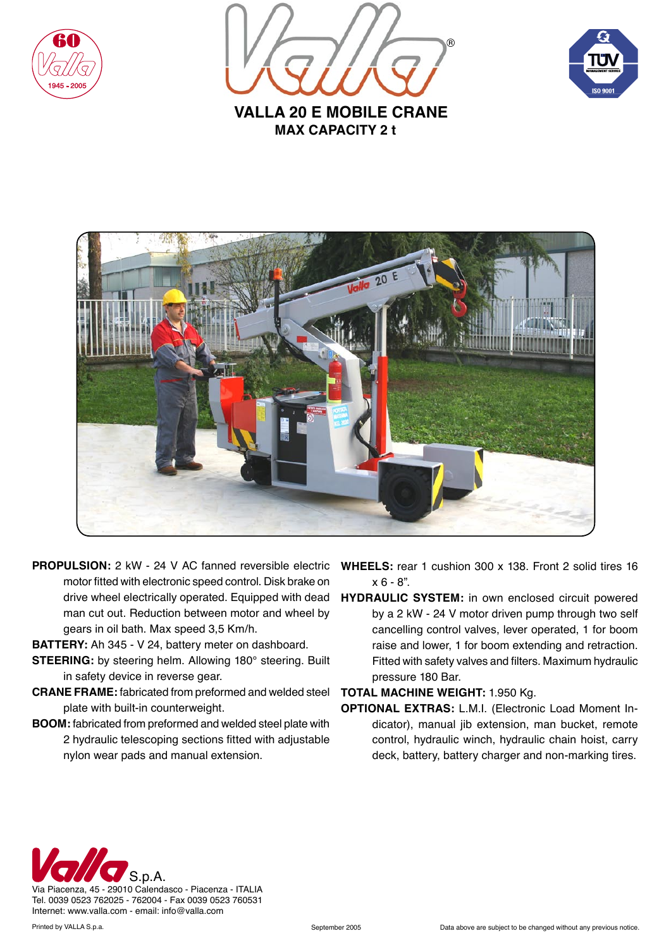





**MAX CAPACITY 2 t VALLA 20 E MOBILE CRANE** 



- **PROPULSION:** 2 kW 24 V AC fanned reversible electric motor fitted with electronic speed control. Disk brake on drive wheel electrically operated. Equipped with dead man cut out. Reduction between motor and wheel by gears in oil bath. Max speed 3,5 Km/h.
- **BATTERY:** Ah 345 V 24, battery meter on dashboard.
- **STEERING:** by steering helm. Allowing 180° steering. Built in safety device in reverse gear.
- **CRANE FRAME:** fabricated from preformed and welded steel plate with built-in counterweight.
- **BOOM:** fabricated from preformed and welded steel plate with 2 hydraulic telescoping sections fitted with adjustable nylon wear pads and manual extension.
- **WHEELS:** rear 1 cushion 300 x 138. Front 2 solid tires 16  $x 6 - 8$ ".
- **HYDRAULIC SYSTEM:** in own enclosed circuit powered by a 2 kW - 24 V motor driven pump through two self cancelling control valves, lever operated, 1 for boom raise and lower, 1 for boom extending and retraction. Fitted with safety valves and filters. Maximum hydraulic pressure 180 Bar.

## **TOTAL MACHINE WEIGHT:** 1.950 Kg.

**OPTIONAL EXTRAS:** L.M.I. (Electronic Load Moment Indicator), manual jib extension, man bucket, remote control, hydraulic winch, hydraulic chain hoist, carry deck, battery, battery charger and non-marking tires.



Tel. 0039 0523 762025 - 762004 - Fax 0039 0523 760531 Internet: www.valla.com - email: info@valla.com